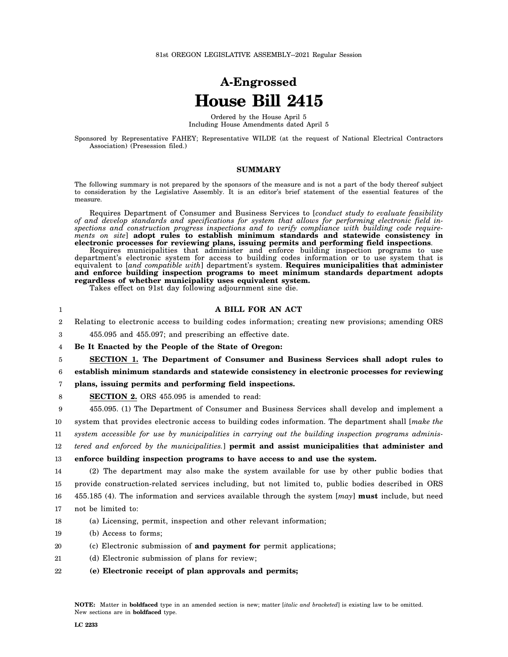## **A-Engrossed House Bill 2415**

Ordered by the House April 5 Including House Amendments dated April 5

Sponsored by Representative FAHEY; Representative WILDE (at the request of National Electrical Contractors Association) (Presession filed.)

## **SUMMARY**

The following summary is not prepared by the sponsors of the measure and is not a part of the body thereof subject to consideration by the Legislative Assembly. It is an editor's brief statement of the essential features of the measure.

Requires Department of Consumer and Business Services to [*conduct study to evaluate feasibility of and develop standards and specifications for system that allows for performing electronic field inspections and construction progress inspections and to verify compliance with building code requirements on site*] **adopt rules to establish minimum standards and statewide consistency in electronic processes for reviewing plans, issuing permits and performing field inspections**.

Requires municipalities that administer and enforce building inspection programs to use department's electronic system for access to building codes information or to use system that is equivalent to [*and compatible with*] department's system. **Requires municipalities that administer and enforce building inspection programs to meet minimum standards department adopts regardless of whether municipality uses equivalent system.**

Takes effect on 91st day following adjournment sine die.

| 1              | A BILL FOR AN ACT                                                                                     |
|----------------|-------------------------------------------------------------------------------------------------------|
| $\overline{2}$ | Relating to electronic access to building codes information; creating new provisions; amending ORS    |
| 3              | 455.095 and 455.097; and prescribing an effective date.                                               |
| 4              | Be It Enacted by the People of the State of Oregon:                                                   |
| 5              | SECTION 1. The Department of Consumer and Business Services shall adopt rules to                      |
| 6              | establish minimum standards and statewide consistency in electronic processes for reviewing           |
| 7              | plans, issuing permits and performing field inspections.                                              |
| 8              | SECTION 2. ORS 455.095 is amended to read:                                                            |
| 9              | 455.095. (1) The Department of Consumer and Business Services shall develop and implement a           |
| 10             | system that provides electronic access to building codes information. The department shall [make the  |
| 11             | system accessible for use by municipalities in carrying out the building inspection programs adminis- |
| 12             | tered and enforced by the municipalities.] permit and assist municipalities that administer and       |
| 13             | enforce building inspection programs to have access to and use the system.                            |
| 14             | (2) The department may also make the system available for use by other public bodies that             |
| 15             | provide construction-related services including, but not limited to, public bodies described in ORS   |
| 16             | 455.185 (4). The information and services available through the system $[may]$ must include, but need |
| 17             | not be limited to:                                                                                    |
| 18             | (a) Licensing, permit, inspection and other relevant information;                                     |
| 19             | (b) Access to forms;                                                                                  |
| 20             | (c) Electronic submission of and payment for permit applications;                                     |
|                |                                                                                                       |

- 21 (d) Electronic submission of plans for review;
- 22 **(e) Electronic receipt of plan approvals and permits;**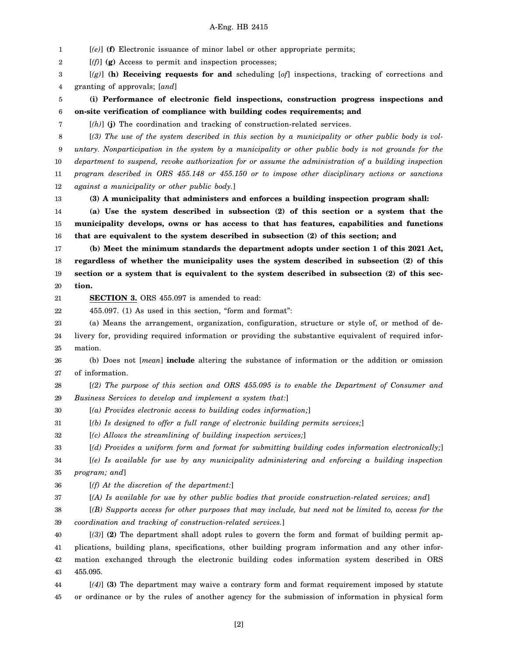## A-Eng. HB 2415

1 2 3 4 5 6 7 8 9 10 11 12 13 14 15 16 17 18 19 20 21 22 23 24 25 26 27 28 29 30 31 32 33 34 35 [*(e)*] **(f)** Electronic issuance of minor label or other appropriate permits; [*(f)*] **(g)** Access to permit and inspection processes; [*(g)*] **(h) Receiving requests for and** scheduling [*of*] inspections, tracking of corrections and granting of approvals; [*and*] **(i) Performance of electronic field inspections, construction progress inspections and on-site verification of compliance with building codes requirements; and** [*(h)*] **(j)** The coordination and tracking of construction-related services. [*(3) The use of the system described in this section by a municipality or other public body is voluntary. Nonparticipation in the system by a municipality or other public body is not grounds for the department to suspend, revoke authorization for or assume the administration of a building inspection program described in ORS 455.148 or 455.150 or to impose other disciplinary actions or sanctions against a municipality or other public body.*] **(3) A municipality that administers and enforces a building inspection program shall: (a) Use the system described in subsection (2) of this section or a system that the municipality develops, owns or has access to that has features, capabilities and functions that are equivalent to the system described in subsection (2) of this section; and (b) Meet the minimum standards the department adopts under section 1 of this 2021 Act, regardless of whether the municipality uses the system described in subsection (2) of this section or a system that is equivalent to the system described in subsection (2) of this section. SECTION 3.** ORS 455.097 is amended to read: 455.097. (1) As used in this section, "form and format": (a) Means the arrangement, organization, configuration, structure or style of, or method of delivery for, providing required information or providing the substantive equivalent of required information. (b) Does not [*mean*] **include** altering the substance of information or the addition or omission of information. [*(2) The purpose of this section and ORS 455.095 is to enable the Department of Consumer and Business Services to develop and implement a system that:*] [*(a) Provides electronic access to building codes information;*] [*(b) Is designed to offer a full range of electronic building permits services;*] [*(c) Allows the streamlining of building inspection services;*] [*(d) Provides a uniform form and format for submitting building codes information electronically;*] [*(e) Is available for use by any municipality administering and enforcing a building inspection program; and*]

36 [*(f) At the discretion of the department:*]

37 [*(A) Is available for use by other public bodies that provide construction-related services; and*]

38 39 [*(B) Supports access for other purposes that may include, but need not be limited to, access for the coordination and tracking of construction-related services.*]

40 41 42 43 [*(3)*] **(2)** The department shall adopt rules to govern the form and format of building permit applications, building plans, specifications, other building program information and any other information exchanged through the electronic building codes information system described in ORS 455.095.

44 45 [*(4)*] **(3)** The department may waive a contrary form and format requirement imposed by statute or ordinance or by the rules of another agency for the submission of information in physical form